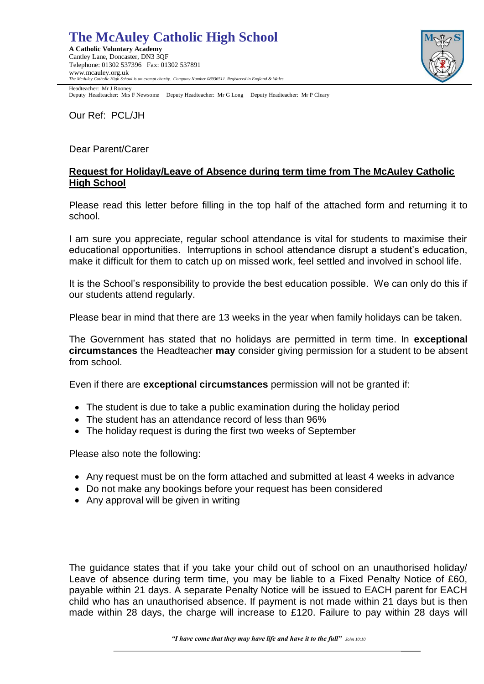# **The McAuley Catholic High School**

**A Catholic Voluntary Academy**  Cantley Lane, Doncaster, DN3 3QF Telephone: 01302 537396 Fax: 01302 537891 www.mcauley.org.uk *The McAuley Catholic High School is an exempt charity. Company Number 08936511. Registered in England & Wales*



Headteacher: Mr J Rooney Deputy Headteacher: Mrs F Newsome Deputy Headteacher: Mr G Long Deputy Headteacher: Mr P Cleary

Our Ref: PCL/JH

### Dear Parent/Carer

### **Request for Holiday/Leave of Absence during term time from The McAuley Catholic High School**

Please read this letter before filling in the top half of the attached form and returning it to school.

I am sure you appreciate, regular school attendance is vital for students to maximise their educational opportunities. Interruptions in school attendance disrupt a student's education, make it difficult for them to catch up on missed work, feel settled and involved in school life.

It is the School's responsibility to provide the best education possible. We can only do this if our students attend regularly.

Please bear in mind that there are 13 weeks in the year when family holidays can be taken.

The Government has stated that no holidays are permitted in term time. In **exceptional circumstances** the Headteacher **may** consider giving permission for a student to be absent from school.

Even if there are **exceptional circumstances** permission will not be granted if:

- The student is due to take a public examination during the holiday period
- The student has an attendance record of less than 96%
- The holiday request is during the first two weeks of September

Please also note the following:

- Any request must be on the form attached and submitted at least 4 weeks in advance
- Do not make any bookings before your request has been considered
- Any approval will be given in writing

The guidance states that if you take your child out of school on an unauthorised holiday/ Leave of absence during term time, you may be liable to a Fixed Penalty Notice of £60, payable within 21 days. A separate Penalty Notice will be issued to EACH parent for EACH child who has an unauthorised absence. If payment is not made within 21 days but is then made within 28 days, the charge will increase to £120. Failure to pay within 28 days will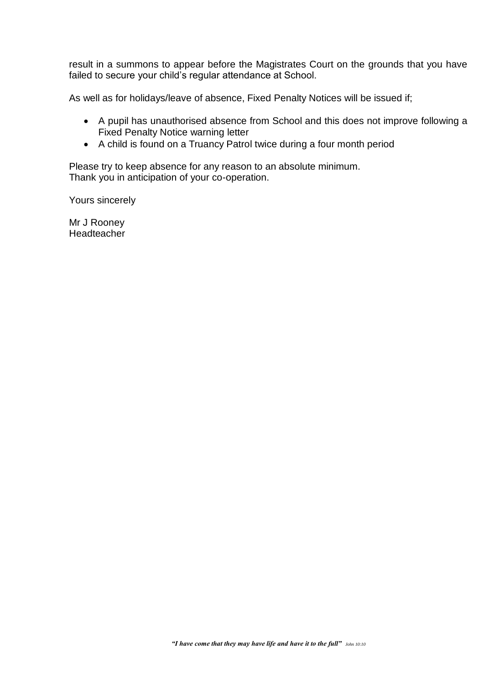result in a summons to appear before the Magistrates Court on the grounds that you have failed to secure your child's regular attendance at School.

As well as for holidays/leave of absence, Fixed Penalty Notices will be issued if;

- A pupil has unauthorised absence from School and this does not improve following a Fixed Penalty Notice warning letter
- A child is found on a Truancy Patrol twice during a four month period

Please try to keep absence for any reason to an absolute minimum. Thank you in anticipation of your co-operation.

Yours sincerely

Mr J Rooney Headteacher